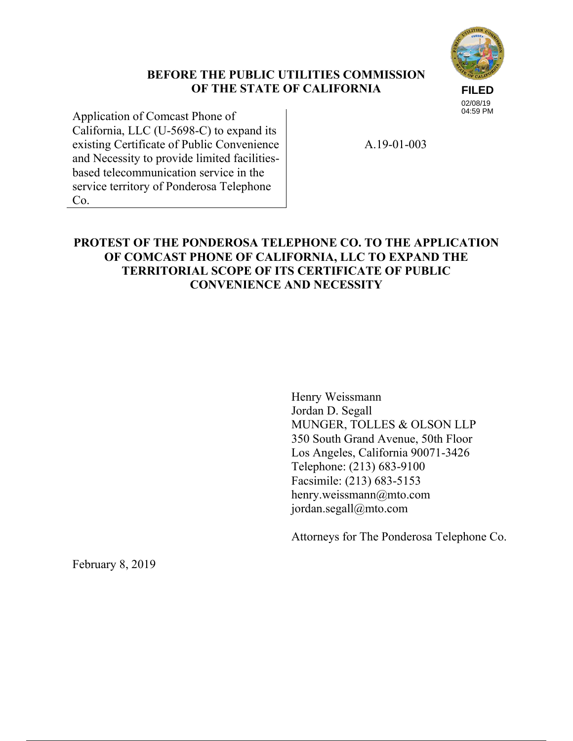# **FILED**

#### **BEFORE THE PUBLIC UTILITIES COMMISSION OF THE STATE OF CALIFORNIA**

02/08/19 04:59 PM

Application of Comcast Phone of California, LLC (U-5698-C) to expand its existing Certificate of Public Convenience and Necessity to provide limited facilitiesbased telecommunication service in the service territory of Ponderosa Telephone Co.

A.19-01-003

# **PROTEST OF THE PONDEROSA TELEPHONE CO. TO THE APPLICATION OF COMCAST PHONE OF CALIFORNIA, LLC TO EXPAND THE TERRITORIAL SCOPE OF ITS CERTIFICATE OF PUBLIC CONVENIENCE AND NECESSITY**

Henry Weissmann Jordan D. Segall MUNGER, TOLLES & OLSON LLP 350 South Grand Avenue, 50th Floor Los Angeles, California 90071-3426 Telephone: (213) 683-9100 Facsimile: (213) 683-5153 henry.weissmann@mto.com jordan.segall@mto.com

Attorneys for The Ponderosa Telephone Co.

February 8, 2019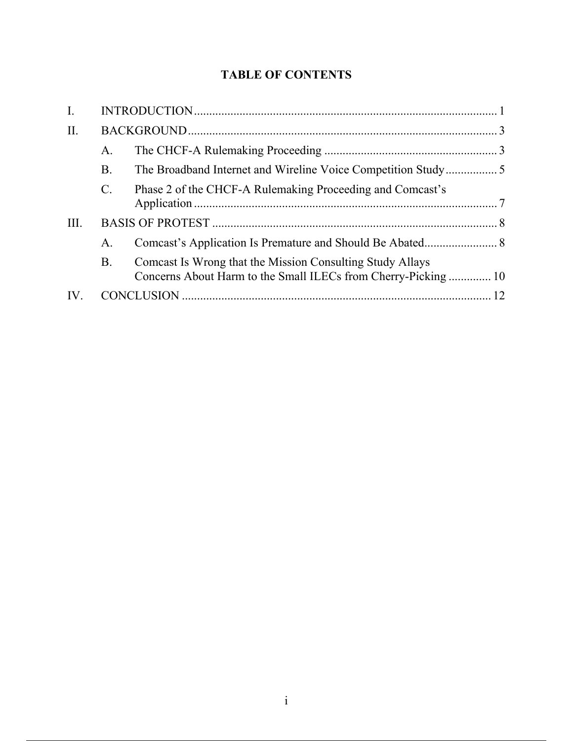# **TABLE OF CONTENTS**

| I.   |                 |                                                                                                                            |  |
|------|-----------------|----------------------------------------------------------------------------------------------------------------------------|--|
| II.  |                 |                                                                                                                            |  |
|      | A.              |                                                                                                                            |  |
|      | <b>B.</b>       |                                                                                                                            |  |
|      | $\mathcal{C}$ . | Phase 2 of the CHCF-A Rulemaking Proceeding and Comcast's                                                                  |  |
| III. |                 |                                                                                                                            |  |
|      | А.              |                                                                                                                            |  |
|      | B.              | Comcast Is Wrong that the Mission Consulting Study Allays<br>Concerns About Harm to the Small ILECs from Cherry-Picking 10 |  |
| IV.  |                 |                                                                                                                            |  |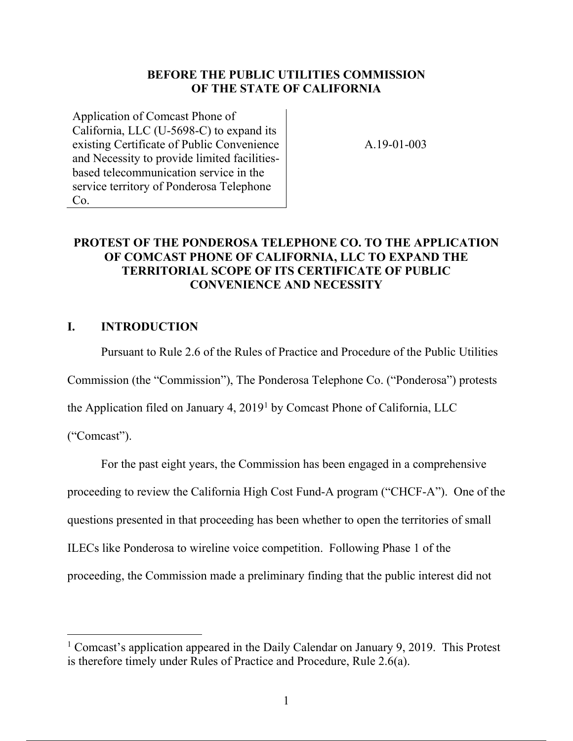#### **BEFORE THE PUBLIC UTILITIES COMMISSION OF THE STATE OF CALIFORNIA**

Application of Comcast Phone of California, LLC (U-5698-C) to expand its existing Certificate of Public Convenience and Necessity to provide limited facilitiesbased telecommunication service in the service territory of Ponderosa Telephone Co.

A.19-01-003

# **PROTEST OF THE PONDEROSA TELEPHONE CO. TO THE APPLICATION OF COMCAST PHONE OF CALIFORNIA, LLC TO EXPAND THE TERRITORIAL SCOPE OF ITS CERTIFICATE OF PUBLIC CONVENIENCE AND NECESSITY**

#### **I. INTRODUCTION**

Pursuant to Rule 2.6 of the Rules of Practice and Procedure of the Public Utilities

Commission (the "Commission"), The Ponderosa Telephone Co. ("Ponderosa") protests

the Application filed on January 4, 20191 by Comcast Phone of California, LLC

("Comcast").

 $\overline{a}$ 

For the past eight years, the Commission has been engaged in a comprehensive

proceeding to review the California High Cost Fund-A program ("CHCF-A"). One of the

questions presented in that proceeding has been whether to open the territories of small

ILECs like Ponderosa to wireline voice competition. Following Phase 1 of the

proceeding, the Commission made a preliminary finding that the public interest did not

<sup>&</sup>lt;sup>1</sup> Comcast's application appeared in the Daily Calendar on January 9, 2019. This Protest is therefore timely under Rules of Practice and Procedure, Rule 2.6(a).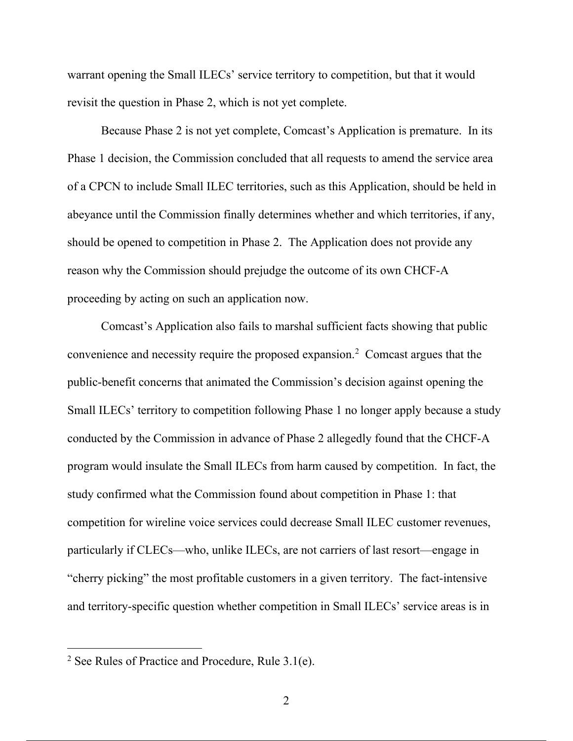warrant opening the Small ILECs' service territory to competition, but that it would revisit the question in Phase 2, which is not yet complete.

Because Phase 2 is not yet complete, Comcast's Application is premature. In its Phase 1 decision, the Commission concluded that all requests to amend the service area of a CPCN to include Small ILEC territories, such as this Application, should be held in abeyance until the Commission finally determines whether and which territories, if any, should be opened to competition in Phase 2. The Application does not provide any reason why the Commission should prejudge the outcome of its own CHCF-A proceeding by acting on such an application now.

Comcast's Application also fails to marshal sufficient facts showing that public convenience and necessity require the proposed expansion.<sup>2</sup> Comcast argues that the public-benefit concerns that animated the Commission's decision against opening the Small ILECs' territory to competition following Phase 1 no longer apply because a study conducted by the Commission in advance of Phase 2 allegedly found that the CHCF-A program would insulate the Small ILECs from harm caused by competition. In fact, the study confirmed what the Commission found about competition in Phase 1: that competition for wireline voice services could decrease Small ILEC customer revenues, particularly if CLECs—who, unlike ILECs, are not carriers of last resort—engage in "cherry picking" the most profitable customers in a given territory. The fact-intensive and territory-specific question whether competition in Small ILECs' service areas is in

<sup>&</sup>lt;sup>2</sup> See Rules of Practice and Procedure, Rule  $3.1(e)$ .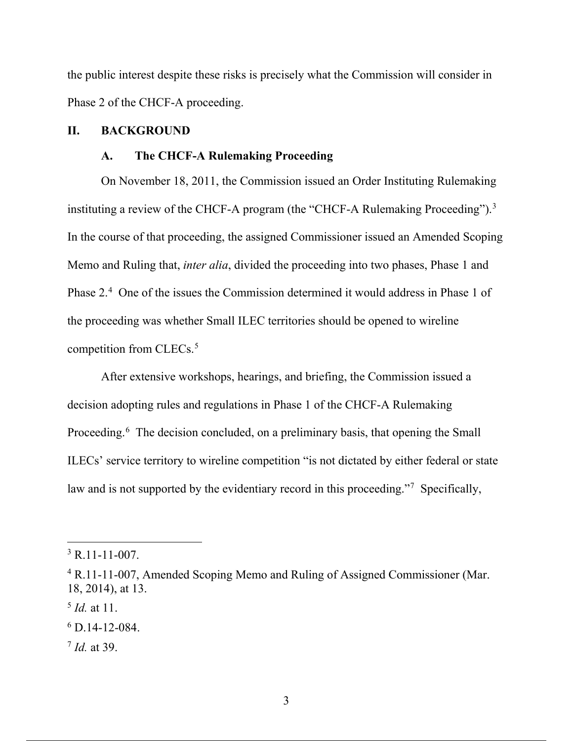the public interest despite these risks is precisely what the Commission will consider in Phase 2 of the CHCF-A proceeding.

### **II. BACKGROUND**

### **A. The CHCF-A Rulemaking Proceeding**

On November 18, 2011, the Commission issued an Order Instituting Rulemaking instituting a review of the CHCF-A program (the "CHCF-A Rulemaking Proceeding").<sup>3</sup> In the course of that proceeding, the assigned Commissioner issued an Amended Scoping Memo and Ruling that, *inter alia*, divided the proceeding into two phases, Phase 1 and Phase 2.<sup>4</sup> One of the issues the Commission determined it would address in Phase 1 of the proceeding was whether Small ILEC territories should be opened to wireline competition from CLECs.<sup>5</sup>

After extensive workshops, hearings, and briefing, the Commission issued a decision adopting rules and regulations in Phase 1 of the CHCF-A Rulemaking Proceeding.<sup>6</sup> The decision concluded, on a preliminary basis, that opening the Small ILECs' service territory to wireline competition "is not dictated by either federal or state law and is not supported by the evidentiary record in this proceeding."<sup>7</sup> Specifically,

 $3$  R.11-11-007.

<sup>4</sup> R.11-11-007, Amended Scoping Memo and Ruling of Assigned Commissioner (Mar. 18, 2014), at 13.

<sup>5</sup> *Id.* at 11.

 $6$  D.14-12-084.

<sup>7</sup> *Id.* at 39.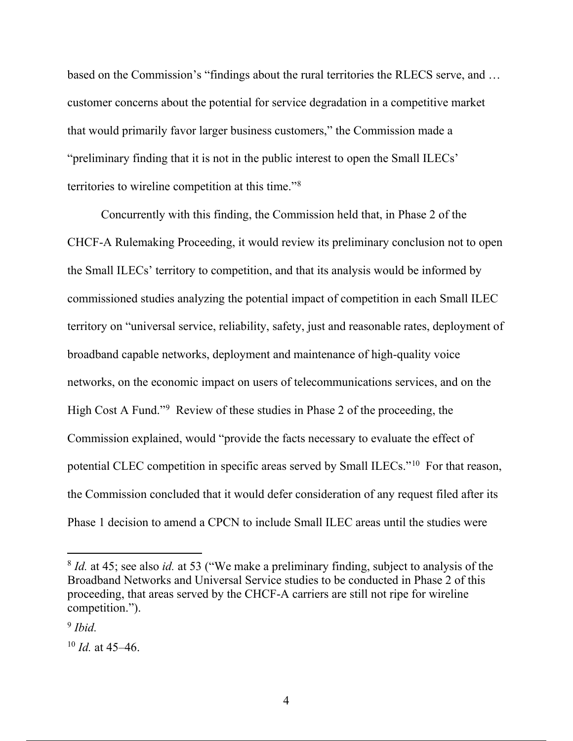based on the Commission's "findings about the rural territories the RLECS serve, and … customer concerns about the potential for service degradation in a competitive market that would primarily favor larger business customers," the Commission made a "preliminary finding that it is not in the public interest to open the Small ILECs' territories to wireline competition at this time."8

Concurrently with this finding, the Commission held that, in Phase 2 of the CHCF-A Rulemaking Proceeding, it would review its preliminary conclusion not to open the Small ILECs' territory to competition, and that its analysis would be informed by commissioned studies analyzing the potential impact of competition in each Small ILEC territory on "universal service, reliability, safety, just and reasonable rates, deployment of broadband capable networks, deployment and maintenance of high-quality voice networks, on the economic impact on users of telecommunications services, and on the High Cost A Fund."9 Review of these studies in Phase 2 of the proceeding, the Commission explained, would "provide the facts necessary to evaluate the effect of potential CLEC competition in specific areas served by Small ILECs."10 For that reason, the Commission concluded that it would defer consideration of any request filed after its Phase 1 decision to amend a CPCN to include Small ILEC areas until the studies were

<sup>&</sup>lt;sup>8</sup> *Id.* at 45; see also *id.* at 53 ("We make a preliminary finding, subject to analysis of the Broadband Networks and Universal Service studies to be conducted in Phase 2 of this proceeding, that areas served by the CHCF-A carriers are still not ripe for wireline competition.").

<sup>9</sup> *Ibid.*

<sup>10</sup> *Id.* at 45–46.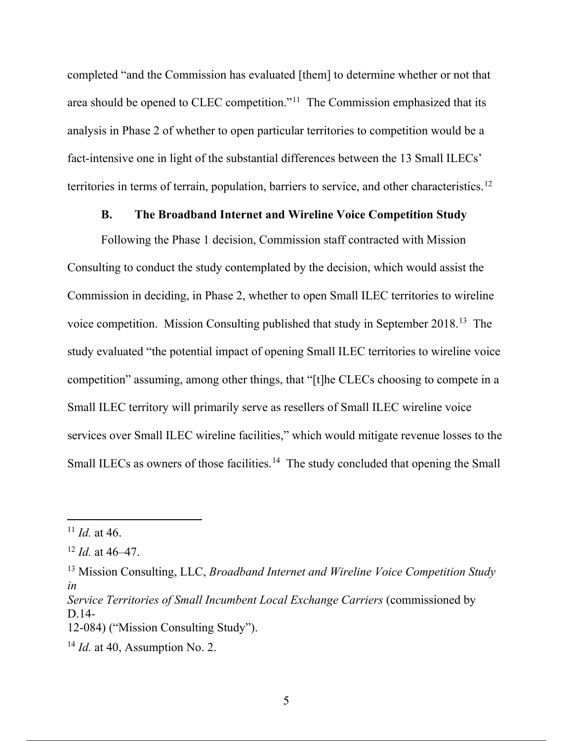completed "and the Commission has evaluated [them] to determine whether or not that area should be opened to CLEC competition."11 The Commission emphasized that its analysis in Phase 2 of whether to open particular territories to competition would be a fact-intensive one in light of the substantial differences between the 13 Small ILECs' territories in terms of terrain, population, barriers to service, and other characteristics.<sup>12</sup>

#### **B. The Broadband Internet and Wireline Voice Competition Study**

Following the Phase 1 decision, Commission staff contracted with Mission Consulting to conduct the study contemplated by the decision, which would assist the Commission in deciding, in Phase 2, whether to open Small ILEC territories to wireline voice competition. Mission Consulting published that study in September 2018.13 The study evaluated "the potential impact of opening Small ILEC territories to wireline voice competition" assuming, among other things, that "[t]he CLECs choosing to compete in a Small ILEC territory will primarily serve as resellers of Small ILEC wireline voice services over Small ILEC wireline facilities," which would mitigate revenue losses to the Small ILECs as owners of those facilities.<sup>14</sup> The study concluded that opening the Small

<sup>11</sup> *Id.* at 46.

<sup>12</sup> *Id.* at 46–47.

<sup>13</sup> Mission Consulting, LLC, *Broadband Internet and Wireline Voice Competition Study in*

*Service Territories of Small Incumbent Local Exchange Carriers (commissioned by* D.14-

<sup>12-084) (&</sup>quot;Mission Consulting Study").

<sup>14</sup> *Id.* at 40, Assumption No. 2.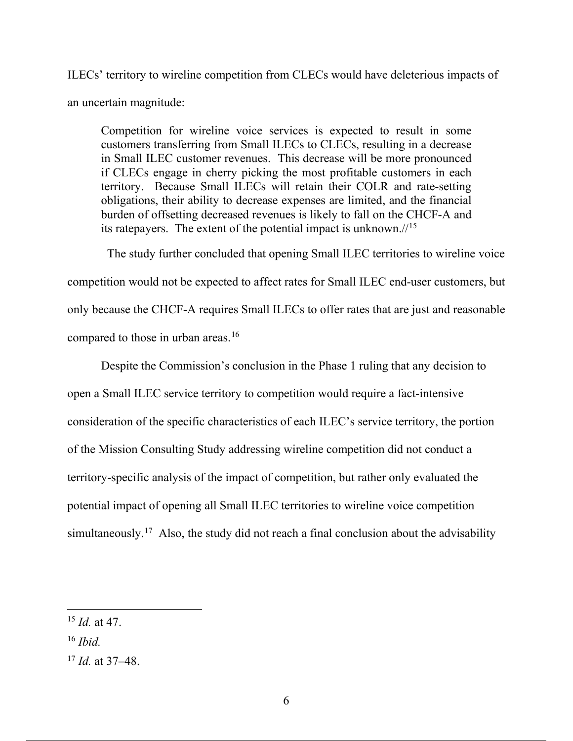ILECs' territory to wireline competition from CLECs would have deleterious impacts of an uncertain magnitude:

Competition for wireline voice services is expected to result in some customers transferring from Small ILECs to CLECs, resulting in a decrease in Small ILEC customer revenues. This decrease will be more pronounced if CLECs engage in cherry picking the most profitable customers in each territory. Because Small ILECs will retain their COLR and rate-setting obligations, their ability to decrease expenses are limited, and the financial burden of offsetting decreased revenues is likely to fall on the CHCF-A and its ratepayers. The extent of the potential impact is unknown.//15

 The study further concluded that opening Small ILEC territories to wireline voice competition would not be expected to affect rates for Small ILEC end-user customers, but only because the CHCF-A requires Small ILECs to offer rates that are just and reasonable compared to those in urban areas.<sup>16</sup>

Despite the Commission's conclusion in the Phase 1 ruling that any decision to open a Small ILEC service territory to competition would require a fact-intensive consideration of the specific characteristics of each ILEC's service territory, the portion of the Mission Consulting Study addressing wireline competition did not conduct a territory-specific analysis of the impact of competition, but rather only evaluated the potential impact of opening all Small ILEC territories to wireline voice competition simultaneously.<sup>17</sup> Also, the study did not reach a final conclusion about the advisability

<sup>16</sup> *Ibid.*

 $\overline{a}$ 

<sup>17</sup> *Id.* at 37–48.

<sup>15</sup> *Id.* at 47.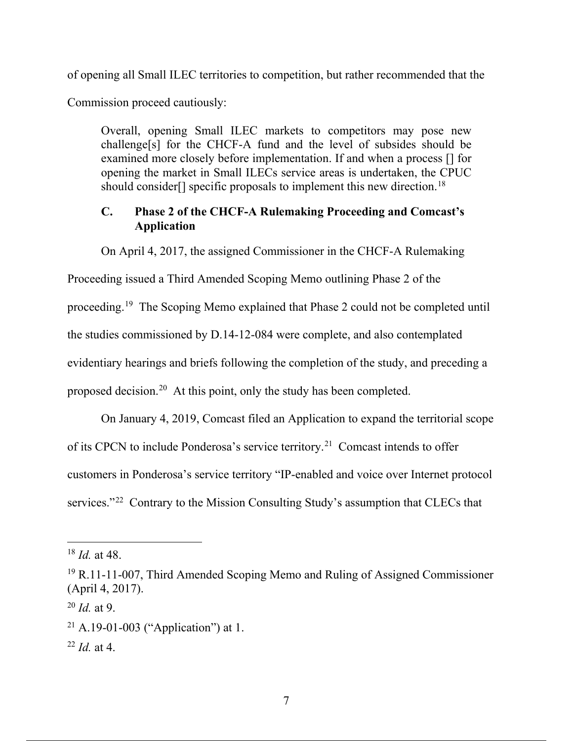of opening all Small ILEC territories to competition, but rather recommended that the

Commission proceed cautiously:

Overall, opening Small ILEC markets to competitors may pose new challenge[s] for the CHCF-A fund and the level of subsides should be examined more closely before implementation. If and when a process [] for opening the market in Small ILECs service areas is undertaken, the CPUC should consider<sup>[]</sup> specific proposals to implement this new direction.<sup>18</sup>

# **C. Phase 2 of the CHCF-A Rulemaking Proceeding and Comcast's Application**

On April 4, 2017, the assigned Commissioner in the CHCF-A Rulemaking

Proceeding issued a Third Amended Scoping Memo outlining Phase 2 of the

proceeding.19 The Scoping Memo explained that Phase 2 could not be completed until

the studies commissioned by D.14-12-084 were complete, and also contemplated

evidentiary hearings and briefs following the completion of the study, and preceding a

proposed decision.20 At this point, only the study has been completed.

On January 4, 2019, Comcast filed an Application to expand the territorial scope of its CPCN to include Ponderosa's service territory.<sup>21</sup> Comcast intends to offer customers in Ponderosa's service territory "IP-enabled and voice over Internet protocol services."<sup>22</sup> Contrary to the Mission Consulting Study's assumption that CLECs that

<sup>18</sup> *Id.* at 48.

<sup>19</sup> R.11-11-007, Third Amended Scoping Memo and Ruling of Assigned Commissioner (April 4, 2017).

<sup>20</sup> *Id.* at 9.

 $21$  A.19-01-003 ("Application") at 1.

<sup>22</sup> *Id.* at 4.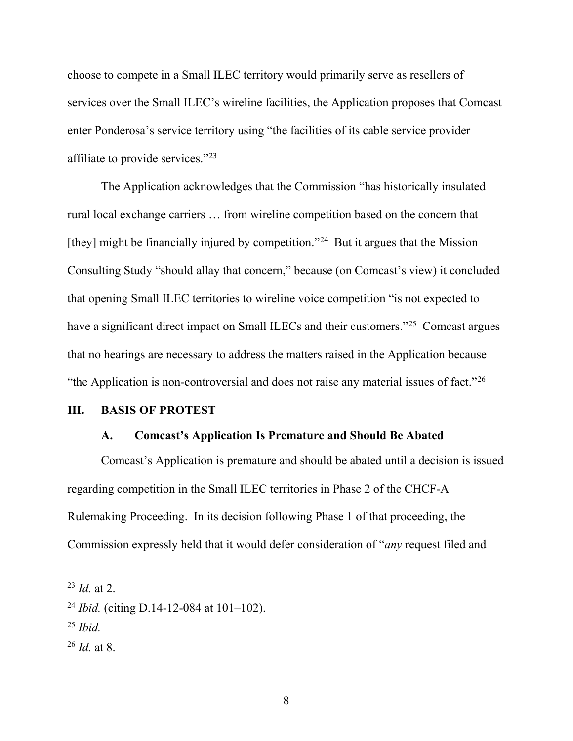choose to compete in a Small ILEC territory would primarily serve as resellers of services over the Small ILEC's wireline facilities, the Application proposes that Comcast enter Ponderosa's service territory using "the facilities of its cable service provider affiliate to provide services."23

The Application acknowledges that the Commission "has historically insulated rural local exchange carriers … from wireline competition based on the concern that [they] might be financially injured by competition."24 But it argues that the Mission Consulting Study "should allay that concern," because (on Comcast's view) it concluded that opening Small ILEC territories to wireline voice competition "is not expected to have a significant direct impact on Small ILECs and their customers."<sup>25</sup> Comcast argues that no hearings are necessary to address the matters raised in the Application because "the Application is non-controversial and does not raise any material issues of fact."26

#### **III. BASIS OF PROTEST**

#### **A. Comcast's Application Is Premature and Should Be Abated**

Comcast's Application is premature and should be abated until a decision is issued regarding competition in the Small ILEC territories in Phase 2 of the CHCF-A Rulemaking Proceeding. In its decision following Phase 1 of that proceeding, the Commission expressly held that it would defer consideration of "*any* request filed and

<sup>25</sup> *Ibid.*

<sup>23</sup> *Id.* at 2.

<sup>24</sup> *Ibid.* (citing D.14-12-084 at 101–102).

<sup>26</sup> *Id.* at 8.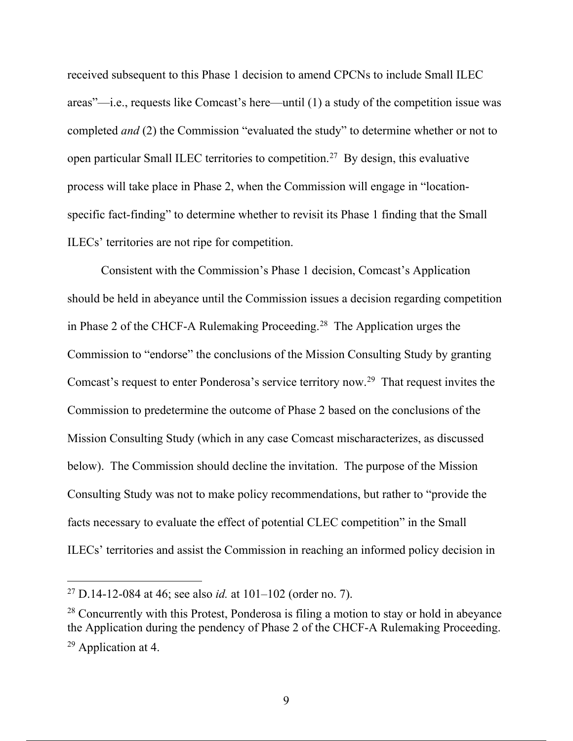received subsequent to this Phase 1 decision to amend CPCNs to include Small ILEC areas"—i.e., requests like Comcast's here—until (1) a study of the competition issue was completed *and* (2) the Commission "evaluated the study" to determine whether or not to open particular Small ILEC territories to competition.<sup>27</sup> By design, this evaluative process will take place in Phase 2, when the Commission will engage in "locationspecific fact-finding" to determine whether to revisit its Phase 1 finding that the Small ILECs' territories are not ripe for competition.

Consistent with the Commission's Phase 1 decision, Comcast's Application should be held in abeyance until the Commission issues a decision regarding competition in Phase 2 of the CHCF-A Rulemaking Proceeding.<sup>28</sup> The Application urges the Commission to "endorse" the conclusions of the Mission Consulting Study by granting Comcast's request to enter Ponderosa's service territory now.29 That request invites the Commission to predetermine the outcome of Phase 2 based on the conclusions of the Mission Consulting Study (which in any case Comcast mischaracterizes, as discussed below). The Commission should decline the invitation. The purpose of the Mission Consulting Study was not to make policy recommendations, but rather to "provide the facts necessary to evaluate the effect of potential CLEC competition" in the Small ILECs' territories and assist the Commission in reaching an informed policy decision in

<sup>27</sup> D.14-12-084 at 46; see also *id.* at 101–102 (order no. 7).

 $28$  Concurrently with this Protest, Ponderosa is filing a motion to stay or hold in abeyance the Application during the pendency of Phase 2 of the CHCF-A Rulemaking Proceeding. <sup>29</sup> Application at 4.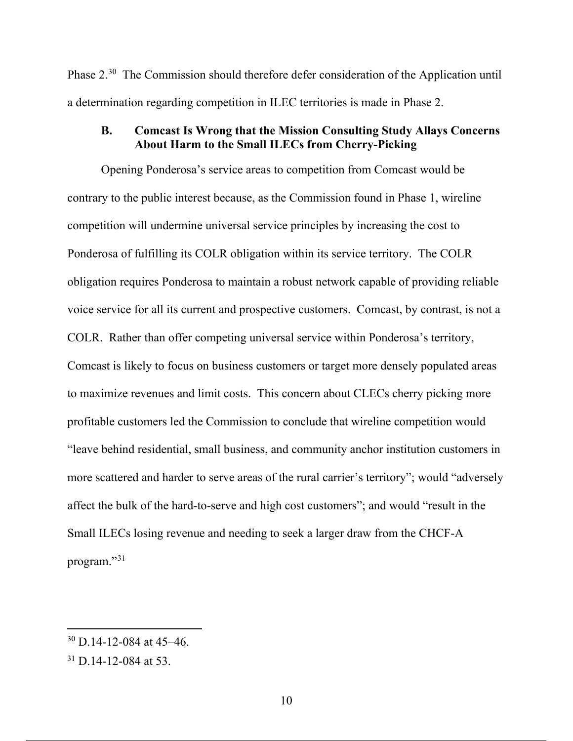Phase 2.30 The Commission should therefore defer consideration of the Application until a determination regarding competition in ILEC territories is made in Phase 2.

# **B. Comcast Is Wrong that the Mission Consulting Study Allays Concerns About Harm to the Small ILECs from Cherry-Picking**

Opening Ponderosa's service areas to competition from Comcast would be contrary to the public interest because, as the Commission found in Phase 1, wireline competition will undermine universal service principles by increasing the cost to Ponderosa of fulfilling its COLR obligation within its service territory. The COLR obligation requires Ponderosa to maintain a robust network capable of providing reliable voice service for all its current and prospective customers. Comcast, by contrast, is not a COLR. Rather than offer competing universal service within Ponderosa's territory, Comcast is likely to focus on business customers or target more densely populated areas to maximize revenues and limit costs. This concern about CLECs cherry picking more profitable customers led the Commission to conclude that wireline competition would "leave behind residential, small business, and community anchor institution customers in more scattered and harder to serve areas of the rural carrier's territory"; would "adversely affect the bulk of the hard-to-serve and high cost customers"; and would "result in the Small ILECs losing revenue and needing to seek a larger draw from the CHCF-A program."<sup>31</sup>

 $30$  D.14-12-084 at 45-46.

 $31$  D.14-12-084 at 53.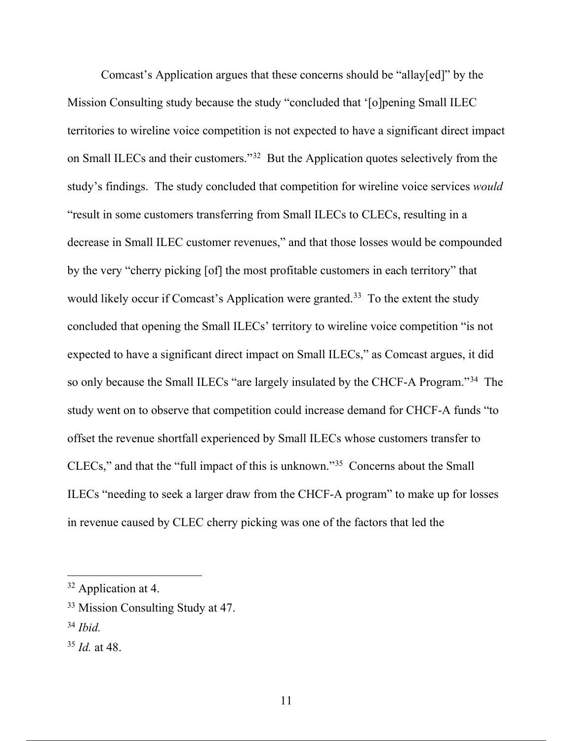Comcast's Application argues that these concerns should be "allay[ed]" by the Mission Consulting study because the study "concluded that '[o]pening Small ILEC territories to wireline voice competition is not expected to have a significant direct impact on Small ILECs and their customers."32 But the Application quotes selectively from the study's findings. The study concluded that competition for wireline voice services *would*  "result in some customers transferring from Small ILECs to CLECs, resulting in a decrease in Small ILEC customer revenues," and that those losses would be compounded by the very "cherry picking [of] the most profitable customers in each territory" that would likely occur if Comcast's Application were granted.<sup>33</sup> To the extent the study concluded that opening the Small ILECs' territory to wireline voice competition "is not expected to have a significant direct impact on Small ILECs," as Comcast argues, it did so only because the Small ILECs "are largely insulated by the CHCF-A Program."34 The study went on to observe that competition could increase demand for CHCF-A funds "to offset the revenue shortfall experienced by Small ILECs whose customers transfer to CLECs," and that the "full impact of this is unknown."35 Concerns about the Small ILECs "needing to seek a larger draw from the CHCF-A program" to make up for losses in revenue caused by CLEC cherry picking was one of the factors that led the

<sup>&</sup>lt;sup>32</sup> Application at 4.

<sup>&</sup>lt;sup>33</sup> Mission Consulting Study at 47.

<sup>34</sup> *Ibid.*

<sup>35</sup> *Id.* at 48.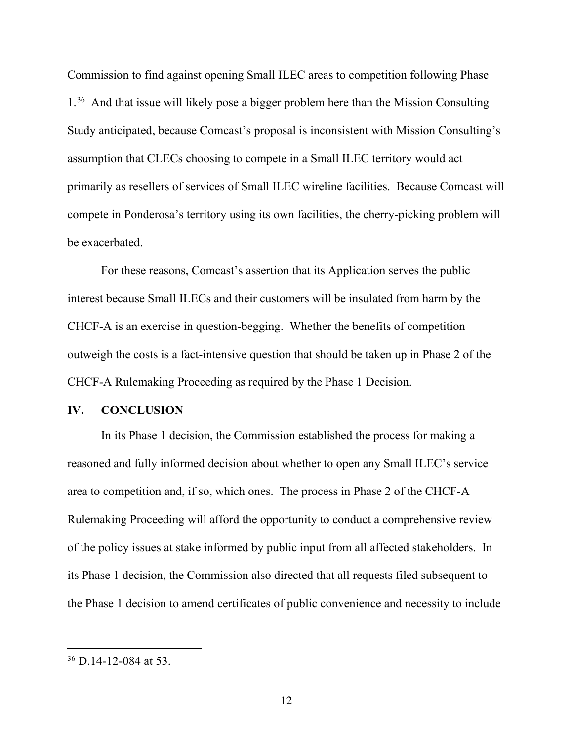Commission to find against opening Small ILEC areas to competition following Phase 1.36 And that issue will likely pose a bigger problem here than the Mission Consulting Study anticipated, because Comcast's proposal is inconsistent with Mission Consulting's assumption that CLECs choosing to compete in a Small ILEC territory would act primarily as resellers of services of Small ILEC wireline facilities. Because Comcast will compete in Ponderosa's territory using its own facilities, the cherry-picking problem will be exacerbated.

For these reasons, Comcast's assertion that its Application serves the public interest because Small ILECs and their customers will be insulated from harm by the CHCF-A is an exercise in question-begging. Whether the benefits of competition outweigh the costs is a fact-intensive question that should be taken up in Phase 2 of the CHCF-A Rulemaking Proceeding as required by the Phase 1 Decision.

#### **IV. CONCLUSION**

In its Phase 1 decision, the Commission established the process for making a reasoned and fully informed decision about whether to open any Small ILEC's service area to competition and, if so, which ones. The process in Phase 2 of the CHCF-A Rulemaking Proceeding will afford the opportunity to conduct a comprehensive review of the policy issues at stake informed by public input from all affected stakeholders. In its Phase 1 decision, the Commission also directed that all requests filed subsequent to the Phase 1 decision to amend certificates of public convenience and necessity to include

<sup>36</sup> D.14-12-084 at 53.